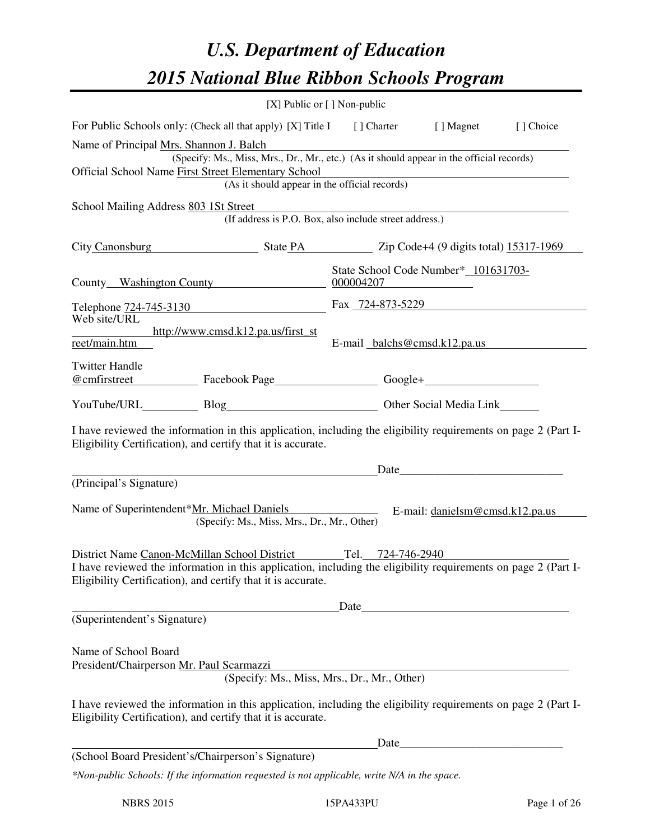# *U.S. Department of Education 2015 National Blue Ribbon Schools Program*

|                                                                                                                                                                                                                                                         | [X] Public or [] Non-public                                                                                                               |                                                   |                                                                                                                                                                                                                               |           |  |  |
|---------------------------------------------------------------------------------------------------------------------------------------------------------------------------------------------------------------------------------------------------------|-------------------------------------------------------------------------------------------------------------------------------------------|---------------------------------------------------|-------------------------------------------------------------------------------------------------------------------------------------------------------------------------------------------------------------------------------|-----------|--|--|
| For Public Schools only: (Check all that apply) [X] Title I                                                                                                                                                                                             |                                                                                                                                           | [ ] Charter [ ] Magnet                            |                                                                                                                                                                                                                               | [] Choice |  |  |
| Name of Principal Mrs. Shannon J. Balch<br>Official School Name First Street Elementary School                                                                                                                                                          | (Specify: Ms., Miss, Mrs., Dr., Mr., etc.) (As it should appear in the official records)<br>(As it should appear in the official records) |                                                   |                                                                                                                                                                                                                               |           |  |  |
| School Mailing Address 803 1St Street                                                                                                                                                                                                                   | (If address is P.O. Box, also include street address.)                                                                                    |                                                   |                                                                                                                                                                                                                               |           |  |  |
| City Canonsburg State PA Zip Code+4 (9 digits total) 15317-1969                                                                                                                                                                                         |                                                                                                                                           |                                                   |                                                                                                                                                                                                                               |           |  |  |
| County Washington County                                                                                                                                                                                                                                |                                                                                                                                           | State School Code Number* 101631703-<br>000004207 | <u> 1980 - Jan Samuel Barbara, politik a politik (</u>                                                                                                                                                                        |           |  |  |
| Telephone 724-745-3130 Fax 724-873-5229                                                                                                                                                                                                                 |                                                                                                                                           |                                                   |                                                                                                                                                                                                                               |           |  |  |
| Web site/URL<br>http://www.cmsd.k12.pa.us/first_st<br>reet/main.htm                                                                                                                                                                                     |                                                                                                                                           | E-mail balchs@cmsd.k12.pa.us                      |                                                                                                                                                                                                                               |           |  |  |
| <b>Twitter Handle</b><br>@cmfirstreet Facebook Page Facebook Page Facebook Page Function Coogle+ Function Coogle+ Function Coogle+ Function Coogle+ Function Coogle+ Function Coogle+ Function Function Coogle+ Function Coogle+ Function Function Coog |                                                                                                                                           |                                                   |                                                                                                                                                                                                                               |           |  |  |
|                                                                                                                                                                                                                                                         |                                                                                                                                           |                                                   |                                                                                                                                                                                                                               |           |  |  |
| I have reviewed the information in this application, including the eligibility requirements on page 2 (Part I-<br>Eligibility Certification), and certify that it is accurate.                                                                          |                                                                                                                                           |                                                   |                                                                                                                                                                                                                               |           |  |  |
| (Principal's Signature)                                                                                                                                                                                                                                 |                                                                                                                                           |                                                   | Date and the same state of the state of the state of the state of the state of the state of the state of the state of the state of the state of the state of the state of the state of the state of the state of the state of |           |  |  |
| Name of Superintendent*Mr. Michael Daniels                                                                                                                                                                                                              | (Specify: Ms., Miss, Mrs., Dr., Mr., Other)                                                                                               |                                                   | E-mail: $danielsm@cmsd.k12.pa.us$                                                                                                                                                                                             |           |  |  |
| District Name Canon-McMillan School District Tel. 724-746-2940<br>I have reviewed the information in this application, including the eligibility requirements on page 2 (Part I-<br>Eligibility Certification), and certify that it is accurate.        |                                                                                                                                           |                                                   |                                                                                                                                                                                                                               |           |  |  |
| (Superintendent's Signature)                                                                                                                                                                                                                            |                                                                                                                                           |                                                   |                                                                                                                                                                                                                               |           |  |  |
|                                                                                                                                                                                                                                                         |                                                                                                                                           |                                                   |                                                                                                                                                                                                                               |           |  |  |
| Name of School Board<br>President/Chairperson Mr. Paul Scarmazzi                                                                                                                                                                                        | (Specify: Ms., Miss, Mrs., Dr., Mr., Other)                                                                                               |                                                   |                                                                                                                                                                                                                               |           |  |  |
| I have reviewed the information in this application, including the eligibility requirements on page 2 (Part I-<br>Eligibility Certification), and certify that it is accurate.                                                                          |                                                                                                                                           |                                                   |                                                                                                                                                                                                                               |           |  |  |
|                                                                                                                                                                                                                                                         |                                                                                                                                           | Date                                              |                                                                                                                                                                                                                               |           |  |  |
| (School Board President's/Chairperson's Signature)                                                                                                                                                                                                      |                                                                                                                                           |                                                   |                                                                                                                                                                                                                               |           |  |  |
| *Non-public Schools: If the information requested is not applicable, write N/A in the space.                                                                                                                                                            |                                                                                                                                           |                                                   |                                                                                                                                                                                                                               |           |  |  |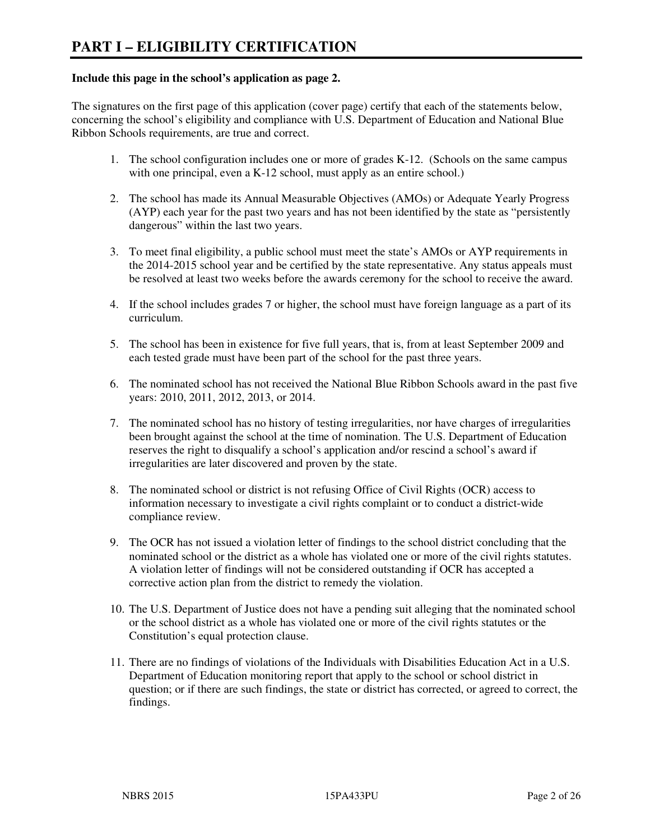#### **Include this page in the school's application as page 2.**

The signatures on the first page of this application (cover page) certify that each of the statements below, concerning the school's eligibility and compliance with U.S. Department of Education and National Blue Ribbon Schools requirements, are true and correct.

- 1. The school configuration includes one or more of grades K-12. (Schools on the same campus with one principal, even a K-12 school, must apply as an entire school.)
- 2. The school has made its Annual Measurable Objectives (AMOs) or Adequate Yearly Progress (AYP) each year for the past two years and has not been identified by the state as "persistently dangerous" within the last two years.
- 3. To meet final eligibility, a public school must meet the state's AMOs or AYP requirements in the 2014-2015 school year and be certified by the state representative. Any status appeals must be resolved at least two weeks before the awards ceremony for the school to receive the award.
- 4. If the school includes grades 7 or higher, the school must have foreign language as a part of its curriculum.
- 5. The school has been in existence for five full years, that is, from at least September 2009 and each tested grade must have been part of the school for the past three years.
- 6. The nominated school has not received the National Blue Ribbon Schools award in the past five years: 2010, 2011, 2012, 2013, or 2014.
- 7. The nominated school has no history of testing irregularities, nor have charges of irregularities been brought against the school at the time of nomination. The U.S. Department of Education reserves the right to disqualify a school's application and/or rescind a school's award if irregularities are later discovered and proven by the state.
- 8. The nominated school or district is not refusing Office of Civil Rights (OCR) access to information necessary to investigate a civil rights complaint or to conduct a district-wide compliance review.
- 9. The OCR has not issued a violation letter of findings to the school district concluding that the nominated school or the district as a whole has violated one or more of the civil rights statutes. A violation letter of findings will not be considered outstanding if OCR has accepted a corrective action plan from the district to remedy the violation.
- 10. The U.S. Department of Justice does not have a pending suit alleging that the nominated school or the school district as a whole has violated one or more of the civil rights statutes or the Constitution's equal protection clause.
- 11. There are no findings of violations of the Individuals with Disabilities Education Act in a U.S. Department of Education monitoring report that apply to the school or school district in question; or if there are such findings, the state or district has corrected, or agreed to correct, the findings.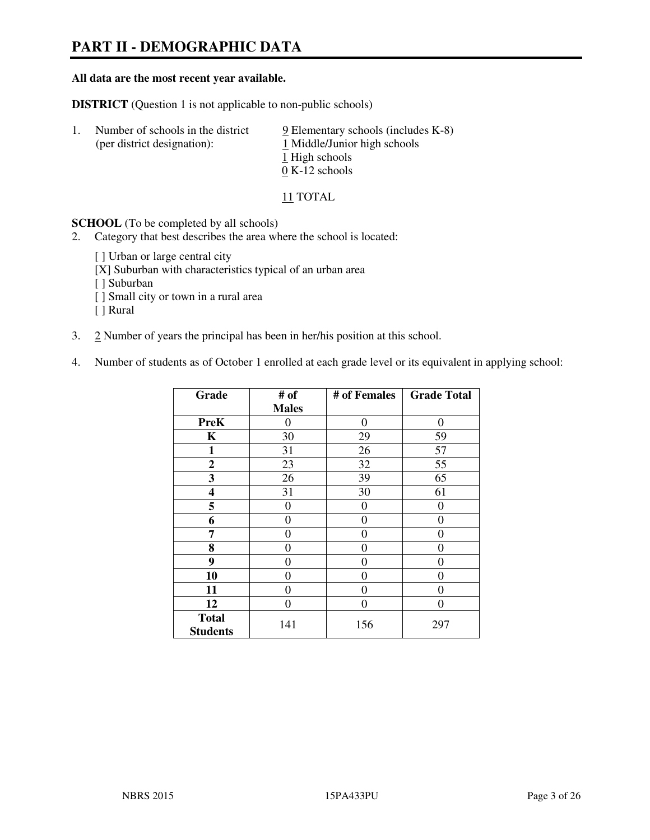# **PART II - DEMOGRAPHIC DATA**

#### **All data are the most recent year available.**

**DISTRICT** (Question 1 is not applicable to non-public schools)

| -1. | Number of schools in the district<br>(per district designation): | $9$ Elementary schools (includes K-8)<br>1 Middle/Junior high schools |
|-----|------------------------------------------------------------------|-----------------------------------------------------------------------|
|     |                                                                  | 1 High schools                                                        |
|     |                                                                  | $0 K-12$ schools                                                      |

11 TOTAL

**SCHOOL** (To be completed by all schools)

- 2. Category that best describes the area where the school is located:
	- [ ] Urban or large central city
	- [X] Suburban with characteristics typical of an urban area
	- [ ] Suburban
	- [ ] Small city or town in a rural area
	- [ ] Rural
- 3. 2 Number of years the principal has been in her/his position at this school.
- 4. Number of students as of October 1 enrolled at each grade level or its equivalent in applying school:

| Grade                           | # of         | # of Females   | <b>Grade Total</b> |
|---------------------------------|--------------|----------------|--------------------|
|                                 | <b>Males</b> |                |                    |
| <b>PreK</b>                     | $\theta$     | $\theta$       | $\theta$           |
| K                               | 30           | 29             | 59                 |
| $\mathbf{1}$                    | 31           | 26             | 57                 |
| $\mathbf{2}$                    | 23           | 32             | 55                 |
| 3                               | 26           | 39             | 65                 |
| 4                               | 31           | 30             | 61                 |
| 5                               | 0            | $\theta$       | $\theta$           |
| 6                               | 0            | 0              | 0                  |
| 7                               | 0            | $\overline{0}$ | 0                  |
| 8                               | 0            | 0              | 0                  |
| 9                               | $\theta$     | 0              | 0                  |
| 10                              | 0            | 0              | 0                  |
| 11                              | 0            | 0              | $\theta$           |
| 12                              | 0            | 0              | 0                  |
| <b>Total</b><br><b>Students</b> | 141          | 156            | 297                |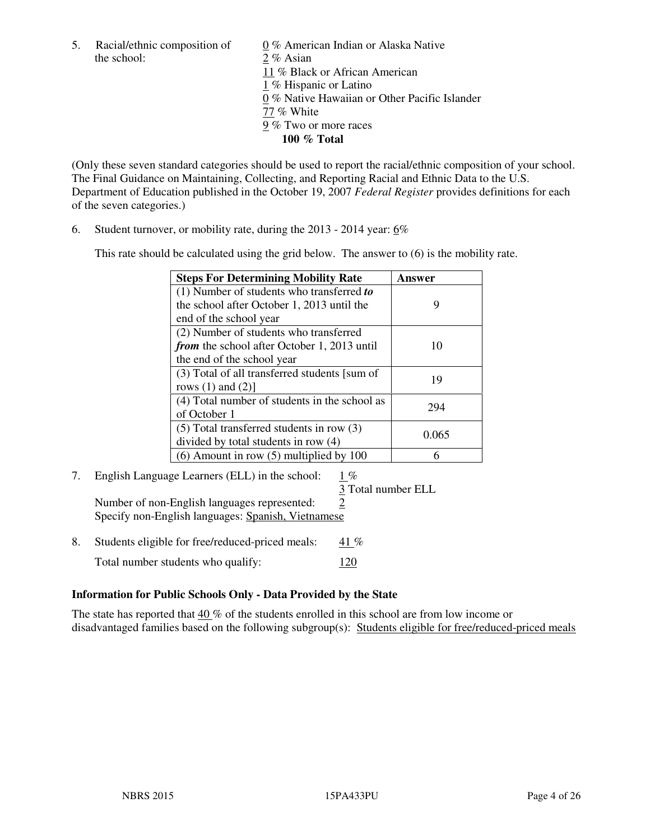the school: 2 % Asian

5. Racial/ethnic composition of  $0\%$  American Indian or Alaska Native 11 % Black or African American 1 % Hispanic or Latino 0 % Native Hawaiian or Other Pacific Islander 77 % White 9 % Two or more races **100 % Total** 

(Only these seven standard categories should be used to report the racial/ethnic composition of your school. The Final Guidance on Maintaining, Collecting, and Reporting Racial and Ethnic Data to the U.S. Department of Education published in the October 19, 2007 *Federal Register* provides definitions for each of the seven categories.)

6. Student turnover, or mobility rate, during the 2013 - 2014 year: 6%

This rate should be calculated using the grid below. The answer to (6) is the mobility rate.

| <b>Steps For Determining Mobility Rate</b>         | Answer |
|----------------------------------------------------|--------|
| $(1)$ Number of students who transferred to        |        |
| the school after October 1, 2013 until the         | 9      |
| end of the school year                             |        |
| (2) Number of students who transferred             |        |
| <i>from</i> the school after October 1, 2013 until | 10     |
| the end of the school year                         |        |
| (3) Total of all transferred students [sum of      | 19     |
| rows $(1)$ and $(2)$ ]                             |        |
| (4) Total number of students in the school as      | 294    |
| of October 1                                       |        |
| $(5)$ Total transferred students in row $(3)$      | 0.065  |
| divided by total students in row (4)               |        |
| $(6)$ Amount in row $(5)$ multiplied by 100        |        |

# 7. English Language Learners (ELL) in the school: 1 %

3 Total number ELL

Number of non-English languages represented: 2 Specify non-English languages: Spanish, Vietnamese

8. Students eligible for free/reduced-priced meals:  $41\%$ Total number students who qualify: 120

#### **Information for Public Schools Only - Data Provided by the State**

The state has reported that 40 % of the students enrolled in this school are from low income or disadvantaged families based on the following subgroup(s): Students eligible for free/reduced-priced meals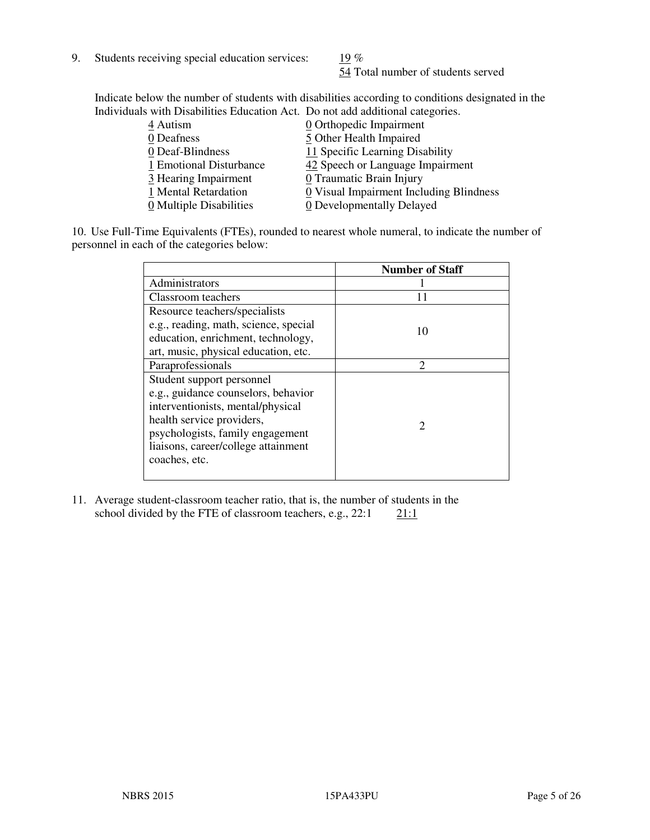9. Students receiving special education services:  $\frac{19}{6}$  %

54 Total number of students served

Indicate below the number of students with disabilities according to conditions designated in the Individuals with Disabilities Education Act. Do not add additional categories.

| 0 Orthopedic Impairment                                         |
|-----------------------------------------------------------------|
| 5 Other Health Impaired                                         |
| 11 Specific Learning Disability                                 |
| 42 Speech or Language Impairment<br>1 Emotional Disturbance     |
| 3 Hearing Impairment<br>0 Traumatic Brain Injury                |
| 0 Visual Impairment Including Blindness<br>1 Mental Retardation |
| 0 Multiple Disabilities<br>0 Developmentally Delayed            |
|                                                                 |

10. Use Full-Time Equivalents (FTEs), rounded to nearest whole numeral, to indicate the number of personnel in each of the categories below:

|                                       | <b>Number of Staff</b>      |
|---------------------------------------|-----------------------------|
| Administrators                        |                             |
| Classroom teachers                    |                             |
| Resource teachers/specialists         |                             |
| e.g., reading, math, science, special | 10                          |
| education, enrichment, technology,    |                             |
| art, music, physical education, etc.  |                             |
| Paraprofessionals                     | $\mathcal{D}_{\mathcal{A}}$ |
| Student support personnel             |                             |
| e.g., guidance counselors, behavior   |                             |
| interventionists, mental/physical     |                             |
| health service providers,             | $\mathcal{D}_{\mathcal{L}}$ |
| psychologists, family engagement      |                             |
| liaisons, career/college attainment   |                             |
| coaches, etc.                         |                             |
|                                       |                             |

11. Average student-classroom teacher ratio, that is, the number of students in the school divided by the FTE of classroom teachers, e.g.,  $22:1 \qquad 21:1$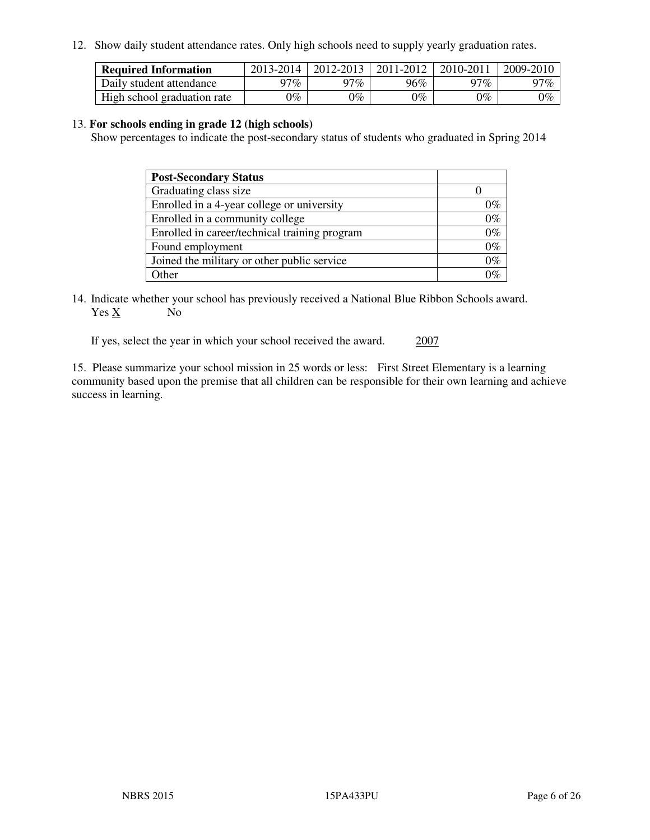12. Show daily student attendance rates. Only high schools need to supply yearly graduation rates.

| <b>Required Information</b> | 2013-2014     | 2012-2013       | 2011-2012 | 2010-2011 | 2009-2010 |
|-----------------------------|---------------|-----------------|-----------|-----------|-----------|
| Daily student attendance    | 97%           | 97%             | 96%       | $17\%$    | 97%       |
| High school graduation rate | $\gamma_{\%}$ | $\mathcal{V}_o$ | $0\%$     | 0%        | 0%        |

#### 13. **For schools ending in grade 12 (high schools)**

Show percentages to indicate the post-secondary status of students who graduated in Spring 2014

| <b>Post-Secondary Status</b>                  |       |
|-----------------------------------------------|-------|
| Graduating class size                         |       |
| Enrolled in a 4-year college or university    | 0%    |
| Enrolled in a community college               | $0\%$ |
| Enrolled in career/technical training program | $0\%$ |
| Found employment                              | $0\%$ |
| Joined the military or other public service   | $0\%$ |
| Other                                         | ነር    |

14. Indicate whether your school has previously received a National Blue Ribbon Schools award. Yes X No

If yes, select the year in which your school received the award. 2007

15. Please summarize your school mission in 25 words or less: First Street Elementary is a learning community based upon the premise that all children can be responsible for their own learning and achieve success in learning.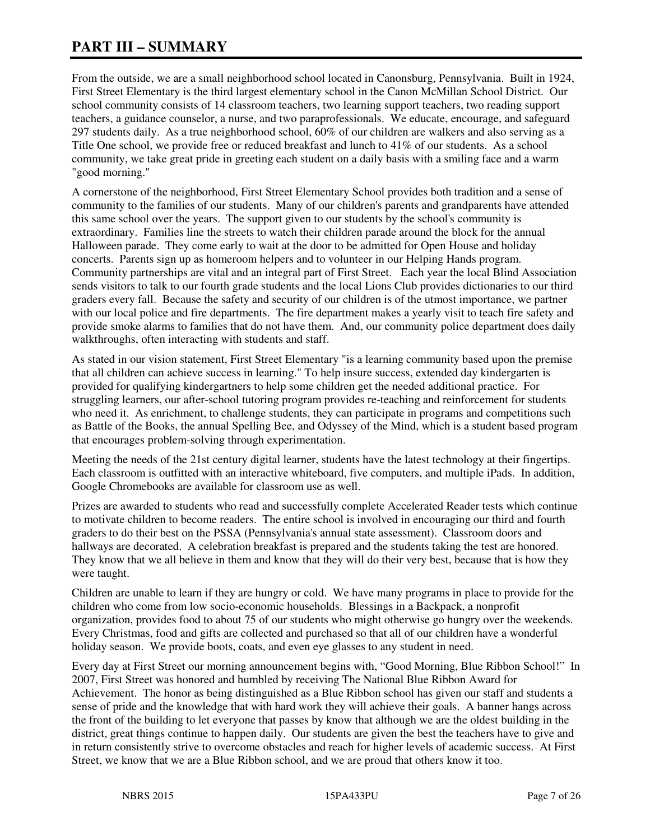# **PART III – SUMMARY**

From the outside, we are a small neighborhood school located in Canonsburg, Pennsylvania. Built in 1924, First Street Elementary is the third largest elementary school in the Canon McMillan School District. Our school community consists of 14 classroom teachers, two learning support teachers, two reading support teachers, a guidance counselor, a nurse, and two paraprofessionals. We educate, encourage, and safeguard 297 students daily. As a true neighborhood school, 60% of our children are walkers and also serving as a Title One school, we provide free or reduced breakfast and lunch to 41% of our students. As a school community, we take great pride in greeting each student on a daily basis with a smiling face and a warm "good morning."

A cornerstone of the neighborhood, First Street Elementary School provides both tradition and a sense of community to the families of our students. Many of our children's parents and grandparents have attended this same school over the years. The support given to our students by the school's community is extraordinary. Families line the streets to watch their children parade around the block for the annual Halloween parade. They come early to wait at the door to be admitted for Open House and holiday concerts. Parents sign up as homeroom helpers and to volunteer in our Helping Hands program. Community partnerships are vital and an integral part of First Street. Each year the local Blind Association sends visitors to talk to our fourth grade students and the local Lions Club provides dictionaries to our third graders every fall. Because the safety and security of our children is of the utmost importance, we partner with our local police and fire departments. The fire department makes a yearly visit to teach fire safety and provide smoke alarms to families that do not have them. And, our community police department does daily walkthroughs, often interacting with students and staff.

As stated in our vision statement, First Street Elementary "is a learning community based upon the premise that all children can achieve success in learning." To help insure success, extended day kindergarten is provided for qualifying kindergartners to help some children get the needed additional practice. For struggling learners, our after-school tutoring program provides re-teaching and reinforcement for students who need it. As enrichment, to challenge students, they can participate in programs and competitions such as Battle of the Books, the annual Spelling Bee, and Odyssey of the Mind, which is a student based program that encourages problem-solving through experimentation.

Meeting the needs of the 21st century digital learner, students have the latest technology at their fingertips. Each classroom is outfitted with an interactive whiteboard, five computers, and multiple iPads. In addition, Google Chromebooks are available for classroom use as well.

Prizes are awarded to students who read and successfully complete Accelerated Reader tests which continue to motivate children to become readers. The entire school is involved in encouraging our third and fourth graders to do their best on the PSSA (Pennsylvania's annual state assessment). Classroom doors and hallways are decorated. A celebration breakfast is prepared and the students taking the test are honored. They know that we all believe in them and know that they will do their very best, because that is how they were taught.

Children are unable to learn if they are hungry or cold. We have many programs in place to provide for the children who come from low socio-economic households. Blessings in a Backpack, a nonprofit organization, provides food to about 75 of our students who might otherwise go hungry over the weekends. Every Christmas, food and gifts are collected and purchased so that all of our children have a wonderful holiday season. We provide boots, coats, and even eye glasses to any student in need.

Every day at First Street our morning announcement begins with, "Good Morning, Blue Ribbon School!" In 2007, First Street was honored and humbled by receiving The National Blue Ribbon Award for Achievement. The honor as being distinguished as a Blue Ribbon school has given our staff and students a sense of pride and the knowledge that with hard work they will achieve their goals. A banner hangs across the front of the building to let everyone that passes by know that although we are the oldest building in the district, great things continue to happen daily. Our students are given the best the teachers have to give and in return consistently strive to overcome obstacles and reach for higher levels of academic success. At First Street, we know that we are a Blue Ribbon school, and we are proud that others know it too.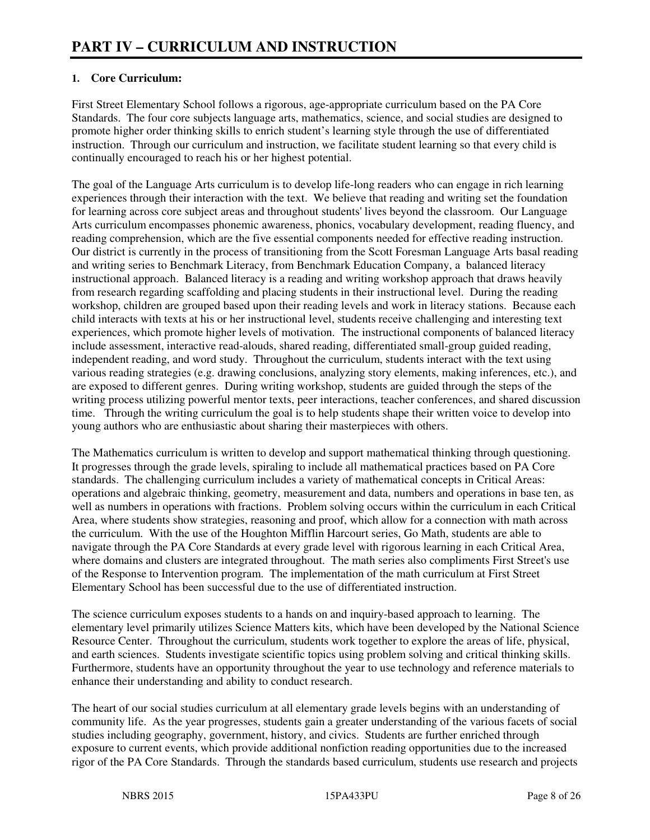#### **1. Core Curriculum:**

First Street Elementary School follows a rigorous, age-appropriate curriculum based on the PA Core Standards. The four core subjects language arts, mathematics, science, and social studies are designed to promote higher order thinking skills to enrich student's learning style through the use of differentiated instruction. Through our curriculum and instruction, we facilitate student learning so that every child is continually encouraged to reach his or her highest potential.

The goal of the Language Arts curriculum is to develop life-long readers who can engage in rich learning experiences through their interaction with the text. We believe that reading and writing set the foundation for learning across core subject areas and throughout students' lives beyond the classroom. Our Language Arts curriculum encompasses phonemic awareness, phonics, vocabulary development, reading fluency, and reading comprehension, which are the five essential components needed for effective reading instruction. Our district is currently in the process of transitioning from the Scott Foresman Language Arts basal reading and writing series to Benchmark Literacy, from Benchmark Education Company, a balanced literacy instructional approach. Balanced literacy is a reading and writing workshop approach that draws heavily from research regarding scaffolding and placing students in their instructional level. During the reading workshop, children are grouped based upon their reading levels and work in literacy stations. Because each child interacts with texts at his or her instructional level, students receive challenging and interesting text experiences, which promote higher levels of motivation. The instructional components of balanced literacy include assessment, interactive read-alouds, shared reading, differentiated small-group guided reading, independent reading, and word study. Throughout the curriculum, students interact with the text using various reading strategies (e.g. drawing conclusions, analyzing story elements, making inferences, etc.), and are exposed to different genres. During writing workshop, students are guided through the steps of the writing process utilizing powerful mentor texts, peer interactions, teacher conferences, and shared discussion time. Through the writing curriculum the goal is to help students shape their written voice to develop into young authors who are enthusiastic about sharing their masterpieces with others.

The Mathematics curriculum is written to develop and support mathematical thinking through questioning. It progresses through the grade levels, spiraling to include all mathematical practices based on PA Core standards. The challenging curriculum includes a variety of mathematical concepts in Critical Areas: operations and algebraic thinking, geometry, measurement and data, numbers and operations in base ten, as well as numbers in operations with fractions. Problem solving occurs within the curriculum in each Critical Area, where students show strategies, reasoning and proof, which allow for a connection with math across the curriculum. With the use of the Houghton Mifflin Harcourt series, Go Math, students are able to navigate through the PA Core Standards at every grade level with rigorous learning in each Critical Area, where domains and clusters are integrated throughout. The math series also compliments First Street's use of the Response to Intervention program. The implementation of the math curriculum at First Street Elementary School has been successful due to the use of differentiated instruction.

The science curriculum exposes students to a hands on and inquiry-based approach to learning. The elementary level primarily utilizes Science Matters kits, which have been developed by the National Science Resource Center. Throughout the curriculum, students work together to explore the areas of life, physical, and earth sciences. Students investigate scientific topics using problem solving and critical thinking skills. Furthermore, students have an opportunity throughout the year to use technology and reference materials to enhance their understanding and ability to conduct research.

The heart of our social studies curriculum at all elementary grade levels begins with an understanding of community life. As the year progresses, students gain a greater understanding of the various facets of social studies including geography, government, history, and civics. Students are further enriched through exposure to current events, which provide additional nonfiction reading opportunities due to the increased rigor of the PA Core Standards. Through the standards based curriculum, students use research and projects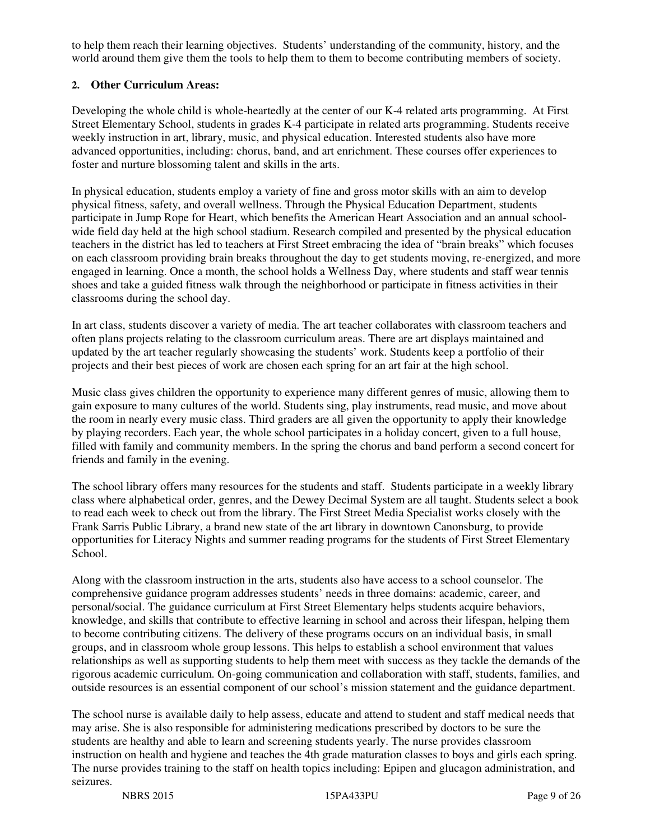to help them reach their learning objectives. Students' understanding of the community, history, and the world around them give them the tools to help them to them to become contributing members of society.

#### **2. Other Curriculum Areas:**

Developing the whole child is whole-heartedly at the center of our K-4 related arts programming. At First Street Elementary School, students in grades K-4 participate in related arts programming. Students receive weekly instruction in art, library, music, and physical education. Interested students also have more advanced opportunities, including: chorus, band, and art enrichment. These courses offer experiences to foster and nurture blossoming talent and skills in the arts.

In physical education, students employ a variety of fine and gross motor skills with an aim to develop physical fitness, safety, and overall wellness. Through the Physical Education Department, students participate in Jump Rope for Heart, which benefits the American Heart Association and an annual schoolwide field day held at the high school stadium. Research compiled and presented by the physical education teachers in the district has led to teachers at First Street embracing the idea of "brain breaks" which focuses on each classroom providing brain breaks throughout the day to get students moving, re-energized, and more engaged in learning. Once a month, the school holds a Wellness Day, where students and staff wear tennis shoes and take a guided fitness walk through the neighborhood or participate in fitness activities in their classrooms during the school day.

In art class, students discover a variety of media. The art teacher collaborates with classroom teachers and often plans projects relating to the classroom curriculum areas. There are art displays maintained and updated by the art teacher regularly showcasing the students' work. Students keep a portfolio of their projects and their best pieces of work are chosen each spring for an art fair at the high school.

Music class gives children the opportunity to experience many different genres of music, allowing them to gain exposure to many cultures of the world. Students sing, play instruments, read music, and move about the room in nearly every music class. Third graders are all given the opportunity to apply their knowledge by playing recorders. Each year, the whole school participates in a holiday concert, given to a full house, filled with family and community members. In the spring the chorus and band perform a second concert for friends and family in the evening.

The school library offers many resources for the students and staff. Students participate in a weekly library class where alphabetical order, genres, and the Dewey Decimal System are all taught. Students select a book to read each week to check out from the library. The First Street Media Specialist works closely with the Frank Sarris Public Library, a brand new state of the art library in downtown Canonsburg, to provide opportunities for Literacy Nights and summer reading programs for the students of First Street Elementary School.

Along with the classroom instruction in the arts, students also have access to a school counselor. The comprehensive guidance program addresses students' needs in three domains: academic, career, and personal/social. The guidance curriculum at First Street Elementary helps students acquire behaviors, knowledge, and skills that contribute to effective learning in school and across their lifespan, helping them to become contributing citizens. The delivery of these programs occurs on an individual basis, in small groups, and in classroom whole group lessons. This helps to establish a school environment that values relationships as well as supporting students to help them meet with success as they tackle the demands of the rigorous academic curriculum. On-going communication and collaboration with staff, students, families, and outside resources is an essential component of our school's mission statement and the guidance department.

The school nurse is available daily to help assess, educate and attend to student and staff medical needs that may arise. She is also responsible for administering medications prescribed by doctors to be sure the students are healthy and able to learn and screening students yearly. The nurse provides classroom instruction on health and hygiene and teaches the 4th grade maturation classes to boys and girls each spring. The nurse provides training to the staff on health topics including: Epipen and glucagon administration, and seizures.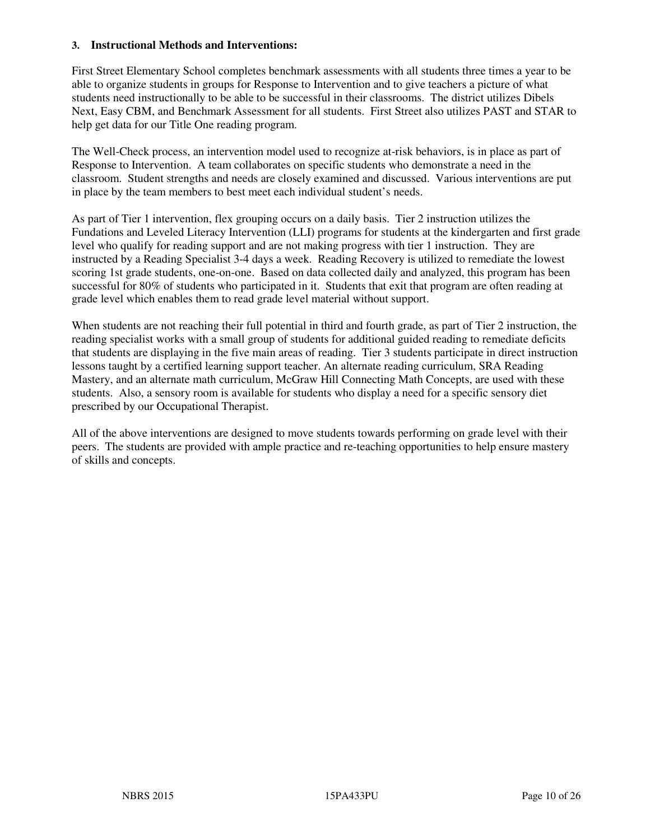#### **3. Instructional Methods and Interventions:**

First Street Elementary School completes benchmark assessments with all students three times a year to be able to organize students in groups for Response to Intervention and to give teachers a picture of what students need instructionally to be able to be successful in their classrooms. The district utilizes Dibels Next, Easy CBM, and Benchmark Assessment for all students. First Street also utilizes PAST and STAR to help get data for our Title One reading program.

The Well-Check process, an intervention model used to recognize at-risk behaviors, is in place as part of Response to Intervention. A team collaborates on specific students who demonstrate a need in the classroom. Student strengths and needs are closely examined and discussed. Various interventions are put in place by the team members to best meet each individual student's needs.

As part of Tier 1 intervention, flex grouping occurs on a daily basis. Tier 2 instruction utilizes the Fundations and Leveled Literacy Intervention (LLI) programs for students at the kindergarten and first grade level who qualify for reading support and are not making progress with tier 1 instruction. They are instructed by a Reading Specialist 3-4 days a week. Reading Recovery is utilized to remediate the lowest scoring 1st grade students, one-on-one. Based on data collected daily and analyzed, this program has been successful for 80% of students who participated in it. Students that exit that program are often reading at grade level which enables them to read grade level material without support.

When students are not reaching their full potential in third and fourth grade, as part of Tier 2 instruction, the reading specialist works with a small group of students for additional guided reading to remediate deficits that students are displaying in the five main areas of reading. Tier 3 students participate in direct instruction lessons taught by a certified learning support teacher. An alternate reading curriculum, SRA Reading Mastery, and an alternate math curriculum, McGraw Hill Connecting Math Concepts, are used with these students. Also, a sensory room is available for students who display a need for a specific sensory diet prescribed by our Occupational Therapist.

All of the above interventions are designed to move students towards performing on grade level with their peers. The students are provided with ample practice and re-teaching opportunities to help ensure mastery of skills and concepts.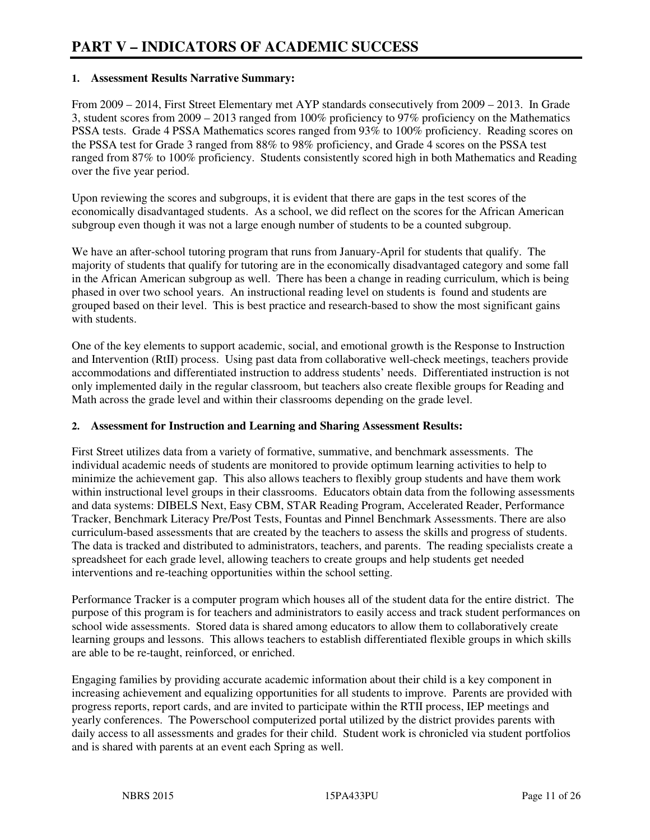#### **1. Assessment Results Narrative Summary:**

From 2009 – 2014, First Street Elementary met AYP standards consecutively from 2009 – 2013. In Grade 3, student scores from 2009 – 2013 ranged from 100% proficiency to 97% proficiency on the Mathematics PSSA tests. Grade 4 PSSA Mathematics scores ranged from 93% to 100% proficiency. Reading scores on the PSSA test for Grade 3 ranged from 88% to 98% proficiency, and Grade 4 scores on the PSSA test ranged from 87% to 100% proficiency. Students consistently scored high in both Mathematics and Reading over the five year period.

Upon reviewing the scores and subgroups, it is evident that there are gaps in the test scores of the economically disadvantaged students. As a school, we did reflect on the scores for the African American subgroup even though it was not a large enough number of students to be a counted subgroup.

We have an after-school tutoring program that runs from January-April for students that qualify. The majority of students that qualify for tutoring are in the economically disadvantaged category and some fall in the African American subgroup as well. There has been a change in reading curriculum, which is being phased in over two school years. An instructional reading level on students is found and students are grouped based on their level. This is best practice and research-based to show the most significant gains with students.

One of the key elements to support academic, social, and emotional growth is the Response to Instruction and Intervention (RtII) process. Using past data from collaborative well-check meetings, teachers provide accommodations and differentiated instruction to address students' needs. Differentiated instruction is not only implemented daily in the regular classroom, but teachers also create flexible groups for Reading and Math across the grade level and within their classrooms depending on the grade level.

#### **2. Assessment for Instruction and Learning and Sharing Assessment Results:**

First Street utilizes data from a variety of formative, summative, and benchmark assessments. The individual academic needs of students are monitored to provide optimum learning activities to help to minimize the achievement gap. This also allows teachers to flexibly group students and have them work within instructional level groups in their classrooms. Educators obtain data from the following assessments and data systems: DIBELS Next, Easy CBM, STAR Reading Program, Accelerated Reader, Performance Tracker, Benchmark Literacy Pre/Post Tests, Fountas and Pinnel Benchmark Assessments. There are also curriculum-based assessments that are created by the teachers to assess the skills and progress of students. The data is tracked and distributed to administrators, teachers, and parents. The reading specialists create a spreadsheet for each grade level, allowing teachers to create groups and help students get needed interventions and re-teaching opportunities within the school setting.

Performance Tracker is a computer program which houses all of the student data for the entire district. The purpose of this program is for teachers and administrators to easily access and track student performances on school wide assessments. Stored data is shared among educators to allow them to collaboratively create learning groups and lessons. This allows teachers to establish differentiated flexible groups in which skills are able to be re-taught, reinforced, or enriched.

Engaging families by providing accurate academic information about their child is a key component in increasing achievement and equalizing opportunities for all students to improve. Parents are provided with progress reports, report cards, and are invited to participate within the RTII process, IEP meetings and yearly conferences. The Powerschool computerized portal utilized by the district provides parents with daily access to all assessments and grades for their child. Student work is chronicled via student portfolios and is shared with parents at an event each Spring as well.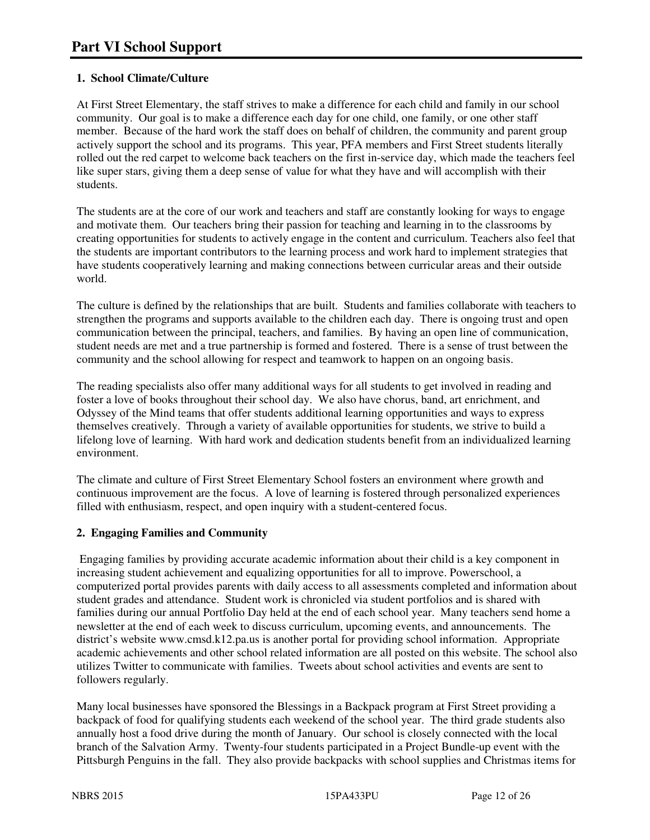#### **1. School Climate/Culture**

At First Street Elementary, the staff strives to make a difference for each child and family in our school community. Our goal is to make a difference each day for one child, one family, or one other staff member. Because of the hard work the staff does on behalf of children, the community and parent group actively support the school and its programs. This year, PFA members and First Street students literally rolled out the red carpet to welcome back teachers on the first in-service day, which made the teachers feel like super stars, giving them a deep sense of value for what they have and will accomplish with their students.

The students are at the core of our work and teachers and staff are constantly looking for ways to engage and motivate them. Our teachers bring their passion for teaching and learning in to the classrooms by creating opportunities for students to actively engage in the content and curriculum. Teachers also feel that the students are important contributors to the learning process and work hard to implement strategies that have students cooperatively learning and making connections between curricular areas and their outside world.

The culture is defined by the relationships that are built. Students and families collaborate with teachers to strengthen the programs and supports available to the children each day. There is ongoing trust and open communication between the principal, teachers, and families. By having an open line of communication, student needs are met and a true partnership is formed and fostered. There is a sense of trust between the community and the school allowing for respect and teamwork to happen on an ongoing basis.

The reading specialists also offer many additional ways for all students to get involved in reading and foster a love of books throughout their school day. We also have chorus, band, art enrichment, and Odyssey of the Mind teams that offer students additional learning opportunities and ways to express themselves creatively. Through a variety of available opportunities for students, we strive to build a lifelong love of learning. With hard work and dedication students benefit from an individualized learning environment.

The climate and culture of First Street Elementary School fosters an environment where growth and continuous improvement are the focus. A love of learning is fostered through personalized experiences filled with enthusiasm, respect, and open inquiry with a student-centered focus.

#### **2. Engaging Families and Community**

 Engaging families by providing accurate academic information about their child is a key component in increasing student achievement and equalizing opportunities for all to improve. Powerschool, a computerized portal provides parents with daily access to all assessments completed and information about student grades and attendance. Student work is chronicled via student portfolios and is shared with families during our annual Portfolio Day held at the end of each school year. Many teachers send home a newsletter at the end of each week to discuss curriculum, upcoming events, and announcements. The district's website www.cmsd.k12.pa.us is another portal for providing school information. Appropriate academic achievements and other school related information are all posted on this website. The school also utilizes Twitter to communicate with families. Tweets about school activities and events are sent to followers regularly.

Many local businesses have sponsored the Blessings in a Backpack program at First Street providing a backpack of food for qualifying students each weekend of the school year. The third grade students also annually host a food drive during the month of January. Our school is closely connected with the local branch of the Salvation Army. Twenty-four students participated in a Project Bundle-up event with the Pittsburgh Penguins in the fall. They also provide backpacks with school supplies and Christmas items for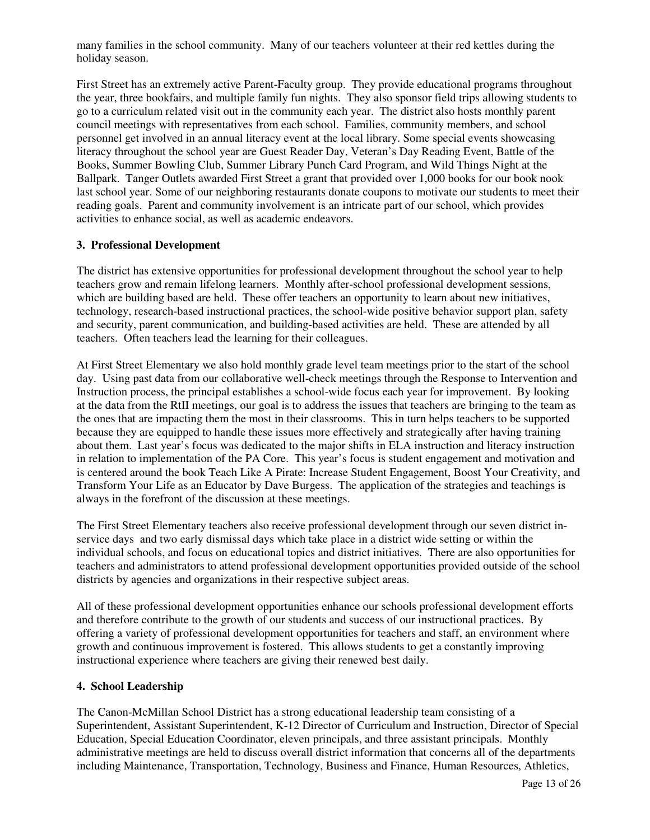many families in the school community. Many of our teachers volunteer at their red kettles during the holiday season.

First Street has an extremely active Parent-Faculty group. They provide educational programs throughout the year, three bookfairs, and multiple family fun nights. They also sponsor field trips allowing students to go to a curriculum related visit out in the community each year. The district also hosts monthly parent council meetings with representatives from each school. Families, community members, and school personnel get involved in an annual literacy event at the local library. Some special events showcasing literacy throughout the school year are Guest Reader Day, Veteran's Day Reading Event, Battle of the Books, Summer Bowling Club, Summer Library Punch Card Program, and Wild Things Night at the Ballpark. Tanger Outlets awarded First Street a grant that provided over 1,000 books for our book nook last school year. Some of our neighboring restaurants donate coupons to motivate our students to meet their reading goals. Parent and community involvement is an intricate part of our school, which provides activities to enhance social, as well as academic endeavors.

#### **3. Professional Development**

The district has extensive opportunities for professional development throughout the school year to help teachers grow and remain lifelong learners. Monthly after-school professional development sessions, which are building based are held. These offer teachers an opportunity to learn about new initiatives, technology, research-based instructional practices, the school-wide positive behavior support plan, safety and security, parent communication, and building-based activities are held. These are attended by all teachers. Often teachers lead the learning for their colleagues.

At First Street Elementary we also hold monthly grade level team meetings prior to the start of the school day. Using past data from our collaborative well-check meetings through the Response to Intervention and Instruction process, the principal establishes a school-wide focus each year for improvement. By looking at the data from the RtII meetings, our goal is to address the issues that teachers are bringing to the team as the ones that are impacting them the most in their classrooms. This in turn helps teachers to be supported because they are equipped to handle these issues more effectively and strategically after having training about them. Last year's focus was dedicated to the major shifts in ELA instruction and literacy instruction in relation to implementation of the PA Core. This year's focus is student engagement and motivation and is centered around the book Teach Like A Pirate: Increase Student Engagement, Boost Your Creativity, and Transform Your Life as an Educator by Dave Burgess. The application of the strategies and teachings is always in the forefront of the discussion at these meetings.

The First Street Elementary teachers also receive professional development through our seven district inservice days and two early dismissal days which take place in a district wide setting or within the individual schools, and focus on educational topics and district initiatives. There are also opportunities for teachers and administrators to attend professional development opportunities provided outside of the school districts by agencies and organizations in their respective subject areas.

All of these professional development opportunities enhance our schools professional development efforts and therefore contribute to the growth of our students and success of our instructional practices. By offering a variety of professional development opportunities for teachers and staff, an environment where growth and continuous improvement is fostered. This allows students to get a constantly improving instructional experience where teachers are giving their renewed best daily.

#### **4. School Leadership**

The Canon-McMillan School District has a strong educational leadership team consisting of a Superintendent, Assistant Superintendent, K-12 Director of Curriculum and Instruction, Director of Special Education, Special Education Coordinator, eleven principals, and three assistant principals. Monthly administrative meetings are held to discuss overall district information that concerns all of the departments including Maintenance, Transportation, Technology, Business and Finance, Human Resources, Athletics,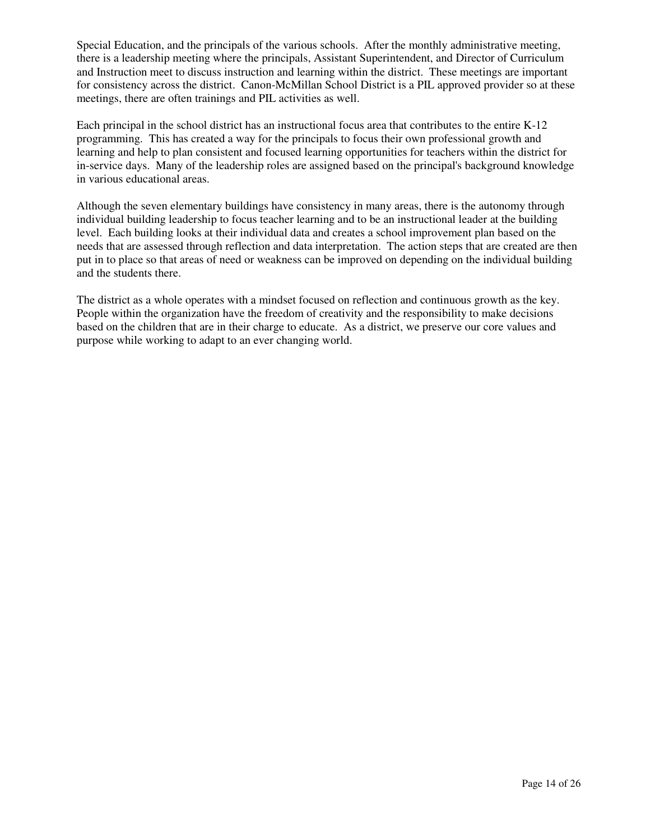Special Education, and the principals of the various schools. After the monthly administrative meeting, there is a leadership meeting where the principals, Assistant Superintendent, and Director of Curriculum and Instruction meet to discuss instruction and learning within the district. These meetings are important for consistency across the district. Canon-McMillan School District is a PIL approved provider so at these meetings, there are often trainings and PIL activities as well.

Each principal in the school district has an instructional focus area that contributes to the entire K-12 programming. This has created a way for the principals to focus their own professional growth and learning and help to plan consistent and focused learning opportunities for teachers within the district for in-service days. Many of the leadership roles are assigned based on the principal's background knowledge in various educational areas.

Although the seven elementary buildings have consistency in many areas, there is the autonomy through individual building leadership to focus teacher learning and to be an instructional leader at the building level. Each building looks at their individual data and creates a school improvement plan based on the needs that are assessed through reflection and data interpretation. The action steps that are created are then put in to place so that areas of need or weakness can be improved on depending on the individual building and the students there.

The district as a whole operates with a mindset focused on reflection and continuous growth as the key. People within the organization have the freedom of creativity and the responsibility to make decisions based on the children that are in their charge to educate. As a district, we preserve our core values and purpose while working to adapt to an ever changing world.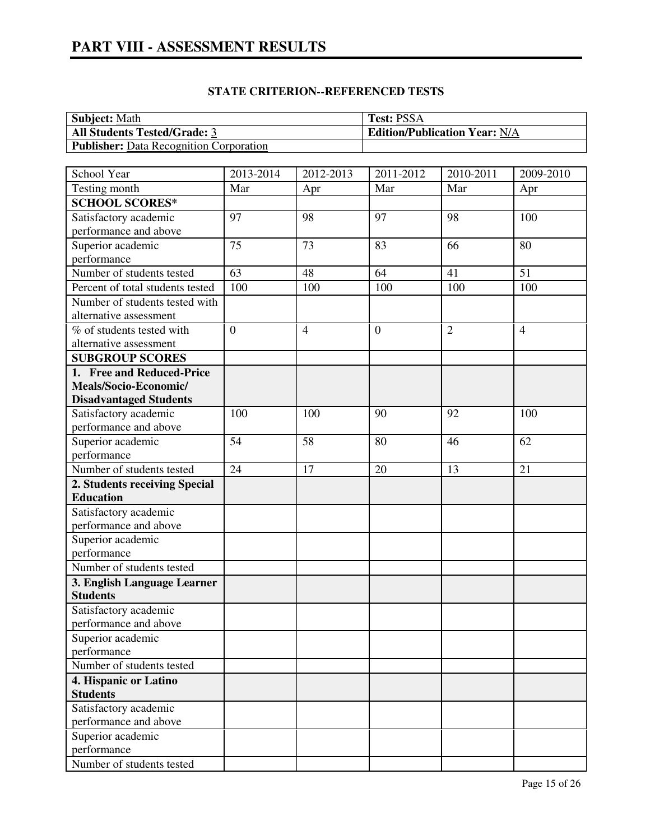### **STATE CRITERION--REFERENCED TESTS**

| <b>Subject:</b> Math                           | <b>Test: PSSA</b>                    |
|------------------------------------------------|--------------------------------------|
| <b>All Students Tested/Grade: 3</b>            | <b>Edition/Publication Year: N/A</b> |
| <b>Publisher:</b> Data Recognition Corporation |                                      |

| School Year                                    | 2013-2014        | 2012-2013      | 2011-2012        | 2010-2011      | 2009-2010      |
|------------------------------------------------|------------------|----------------|------------------|----------------|----------------|
| Testing month                                  | Mar              | Apr            | Mar              | Mar            | Apr            |
| <b>SCHOOL SCORES*</b>                          |                  |                |                  |                |                |
| Satisfactory academic                          | 97               | 98             | 97               | 98             | 100            |
| performance and above                          |                  |                |                  |                |                |
| Superior academic                              | 75               | 73             | 83               | 66             | 80             |
| performance                                    |                  |                |                  |                |                |
| Number of students tested                      | 63               | 48             | 64               | 41             | 51             |
| Percent of total students tested               | 100              | 100            | 100              | 100            | 100            |
| Number of students tested with                 |                  |                |                  |                |                |
| alternative assessment                         |                  |                |                  |                |                |
| % of students tested with                      | $\boldsymbol{0}$ | $\overline{4}$ | $\boldsymbol{0}$ | $\overline{2}$ | $\overline{4}$ |
| alternative assessment                         |                  |                |                  |                |                |
| <b>SUBGROUP SCORES</b>                         |                  |                |                  |                |                |
| 1. Free and Reduced-Price                      |                  |                |                  |                |                |
| Meals/Socio-Economic/                          |                  |                |                  |                |                |
| <b>Disadvantaged Students</b>                  |                  |                |                  |                |                |
| Satisfactory academic                          | 100              | 100            | 90               | 92             | 100            |
| performance and above                          |                  |                |                  |                |                |
| Superior academic                              | 54               | 58             | 80               | 46             | 62             |
| performance                                    |                  |                |                  |                |                |
| Number of students tested                      | 24               | 17             | 20               | 13             | 21             |
| 2. Students receiving Special                  |                  |                |                  |                |                |
| <b>Education</b>                               |                  |                |                  |                |                |
| Satisfactory academic                          |                  |                |                  |                |                |
| performance and above                          |                  |                |                  |                |                |
| Superior academic                              |                  |                |                  |                |                |
| performance                                    |                  |                |                  |                |                |
| Number of students tested                      |                  |                |                  |                |                |
| 3. English Language Learner<br><b>Students</b> |                  |                |                  |                |                |
| Satisfactory academic                          |                  |                |                  |                |                |
| performance and above                          |                  |                |                  |                |                |
| Superior academic                              |                  |                |                  |                |                |
| performance                                    |                  |                |                  |                |                |
| Number of students tested                      |                  |                |                  |                |                |
| 4. Hispanic or Latino                          |                  |                |                  |                |                |
| <b>Students</b>                                |                  |                |                  |                |                |
| Satisfactory academic                          |                  |                |                  |                |                |
| performance and above                          |                  |                |                  |                |                |
| Superior academic                              |                  |                |                  |                |                |
| performance                                    |                  |                |                  |                |                |
| Number of students tested                      |                  |                |                  |                |                |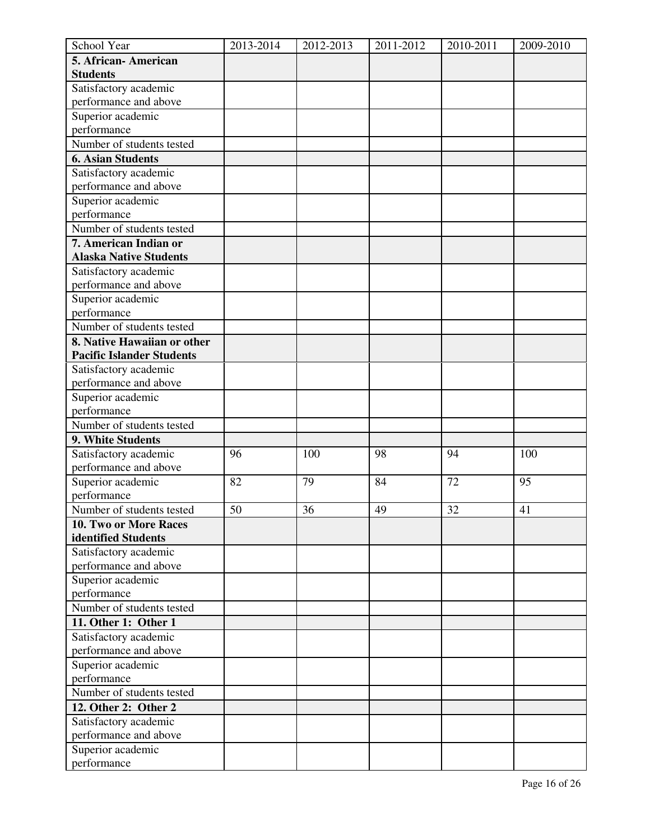| School Year                      | 2013-2014 | 2012-2013 | 2011-2012 | 2010-2011 | 2009-2010 |
|----------------------------------|-----------|-----------|-----------|-----------|-----------|
| 5. African-American              |           |           |           |           |           |
| <b>Students</b>                  |           |           |           |           |           |
| Satisfactory academic            |           |           |           |           |           |
| performance and above            |           |           |           |           |           |
| Superior academic                |           |           |           |           |           |
| performance                      |           |           |           |           |           |
| Number of students tested        |           |           |           |           |           |
| <b>6. Asian Students</b>         |           |           |           |           |           |
| Satisfactory academic            |           |           |           |           |           |
| performance and above            |           |           |           |           |           |
| Superior academic                |           |           |           |           |           |
| performance                      |           |           |           |           |           |
| Number of students tested        |           |           |           |           |           |
| 7. American Indian or            |           |           |           |           |           |
| <b>Alaska Native Students</b>    |           |           |           |           |           |
| Satisfactory academic            |           |           |           |           |           |
| performance and above            |           |           |           |           |           |
| Superior academic                |           |           |           |           |           |
| performance                      |           |           |           |           |           |
| Number of students tested        |           |           |           |           |           |
| 8. Native Hawaiian or other      |           |           |           |           |           |
| <b>Pacific Islander Students</b> |           |           |           |           |           |
| Satisfactory academic            |           |           |           |           |           |
| performance and above            |           |           |           |           |           |
| Superior academic                |           |           |           |           |           |
| performance                      |           |           |           |           |           |
| Number of students tested        |           |           |           |           |           |
| 9. White Students                |           |           |           |           |           |
| Satisfactory academic            | 96        | 100       | 98        | 94        | 100       |
| performance and above            |           |           |           |           |           |
| Superior academic                | 82        | 79        | 84        | 72        | 95        |
| performance                      |           |           |           |           |           |
| Number of students tested        | 50        | 36        | 49        | 32        | 41        |
| 10. Two or More Races            |           |           |           |           |           |
| identified Students              |           |           |           |           |           |
| Satisfactory academic            |           |           |           |           |           |
| performance and above            |           |           |           |           |           |
| Superior academic                |           |           |           |           |           |
| performance                      |           |           |           |           |           |
| Number of students tested        |           |           |           |           |           |
| 11. Other 1: Other 1             |           |           |           |           |           |
| Satisfactory academic            |           |           |           |           |           |
| performance and above            |           |           |           |           |           |
| Superior academic                |           |           |           |           |           |
| performance                      |           |           |           |           |           |
| Number of students tested        |           |           |           |           |           |
| 12. Other 2: Other 2             |           |           |           |           |           |
| Satisfactory academic            |           |           |           |           |           |
| performance and above            |           |           |           |           |           |
| Superior academic                |           |           |           |           |           |
| performance                      |           |           |           |           |           |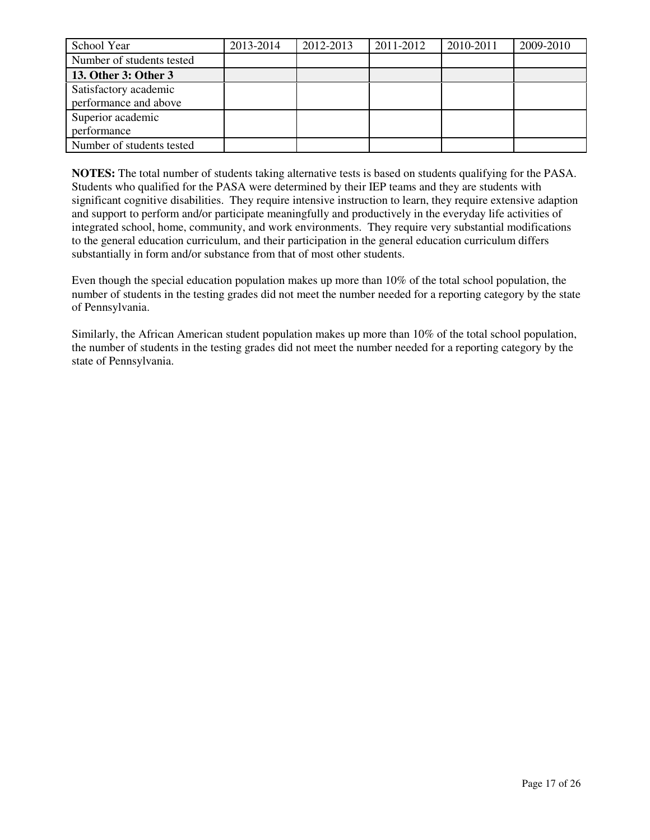| School Year                                    | 2013-2014 | 2012-2013 | 2011-2012 | 2010-2011 | 2009-2010 |
|------------------------------------------------|-----------|-----------|-----------|-----------|-----------|
| Number of students tested                      |           |           |           |           |           |
| 13. Other 3: Other 3                           |           |           |           |           |           |
| Satisfactory academic<br>performance and above |           |           |           |           |           |
| Superior academic<br>performance               |           |           |           |           |           |
| Number of students tested                      |           |           |           |           |           |

**NOTES:** The total number of students taking alternative tests is based on students qualifying for the PASA. Students who qualified for the PASA were determined by their IEP teams and they are students with significant cognitive disabilities. They require intensive instruction to learn, they require extensive adaption and support to perform and/or participate meaningfully and productively in the everyday life activities of integrated school, home, community, and work environments. They require very substantial modifications to the general education curriculum, and their participation in the general education curriculum differs substantially in form and/or substance from that of most other students.

Even though the special education population makes up more than 10% of the total school population, the number of students in the testing grades did not meet the number needed for a reporting category by the state of Pennsylvania.

Similarly, the African American student population makes up more than 10% of the total school population, the number of students in the testing grades did not meet the number needed for a reporting category by the state of Pennsylvania.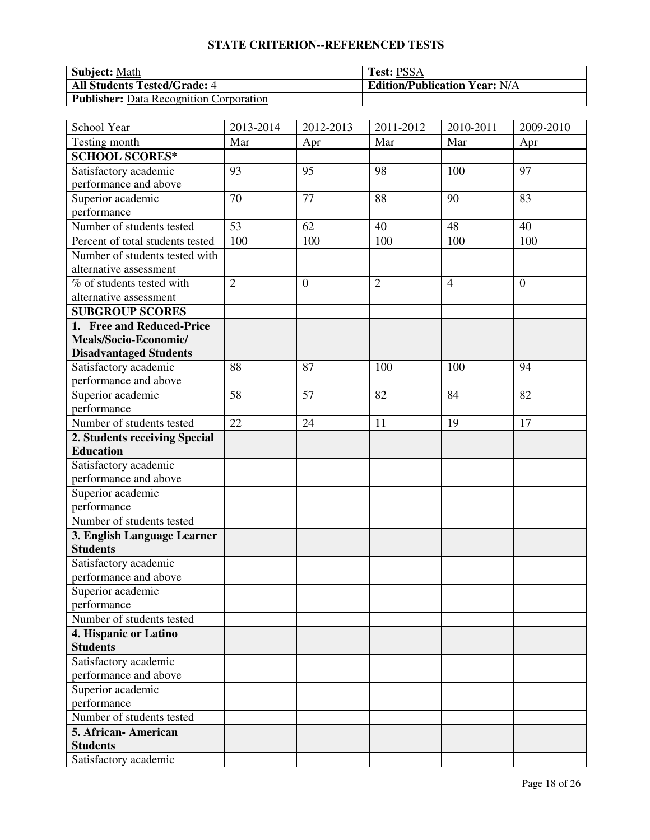# **STATE CRITERION--REFERENCED TESTS**

| <b>Subject:</b> Math                           | <b>Test: PSSA</b>                    |
|------------------------------------------------|--------------------------------------|
| <b>All Students Tested/Grade: 4</b>            | <b>Edition/Publication Year: N/A</b> |
| <b>Publisher:</b> Data Recognition Corporation |                                      |

| School Year                      | 2013-2014      | 2012-2013    | 2011-2012      | 2010-2011      | 2009-2010      |
|----------------------------------|----------------|--------------|----------------|----------------|----------------|
| Testing month                    | Mar            | Apr          | Mar            | Mar            | Apr            |
| <b>SCHOOL SCORES*</b>            |                |              |                |                |                |
| Satisfactory academic            | 93             | 95           | 98             | 100            | 97             |
| performance and above            |                |              |                |                |                |
| Superior academic                | 70             | 77           | 88             | 90             | 83             |
| performance                      |                |              |                |                |                |
| Number of students tested        | 53             | 62           | 40             | 48             | 40             |
| Percent of total students tested | 100            | 100          | 100            | 100            | 100            |
| Number of students tested with   |                |              |                |                |                |
| alternative assessment           |                |              |                |                |                |
| % of students tested with        | $\overline{2}$ | $\mathbf{0}$ | $\overline{2}$ | $\overline{4}$ | $\overline{0}$ |
| alternative assessment           |                |              |                |                |                |
| <b>SUBGROUP SCORES</b>           |                |              |                |                |                |
| 1. Free and Reduced-Price        |                |              |                |                |                |
| Meals/Socio-Economic/            |                |              |                |                |                |
| <b>Disadvantaged Students</b>    |                |              |                |                |                |
| Satisfactory academic            | 88             | 87           | 100            | 100            | 94             |
| performance and above            |                |              |                |                |                |
| Superior academic                | 58             | 57           | 82             | 84             | 82             |
| performance                      |                |              |                |                |                |
| Number of students tested        | 22             | 24           | 11             | 19             | 17             |
| 2. Students receiving Special    |                |              |                |                |                |
| <b>Education</b>                 |                |              |                |                |                |
| Satisfactory academic            |                |              |                |                |                |
| performance and above            |                |              |                |                |                |
| Superior academic                |                |              |                |                |                |
| performance                      |                |              |                |                |                |
| Number of students tested        |                |              |                |                |                |
| 3. English Language Learner      |                |              |                |                |                |
| <b>Students</b>                  |                |              |                |                |                |
| Satisfactory academic            |                |              |                |                |                |
| performance and above            |                |              |                |                |                |
| Superior academic                |                |              |                |                |                |
| performance                      |                |              |                |                |                |
| Number of students tested        |                |              |                |                |                |
| 4. Hispanic or Latino            |                |              |                |                |                |
| <b>Students</b>                  |                |              |                |                |                |
| Satisfactory academic            |                |              |                |                |                |
| performance and above            |                |              |                |                |                |
| Superior academic                |                |              |                |                |                |
| performance                      |                |              |                |                |                |
| Number of students tested        |                |              |                |                |                |
| 5. African-American              |                |              |                |                |                |
| <b>Students</b>                  |                |              |                |                |                |
| Satisfactory academic            |                |              |                |                |                |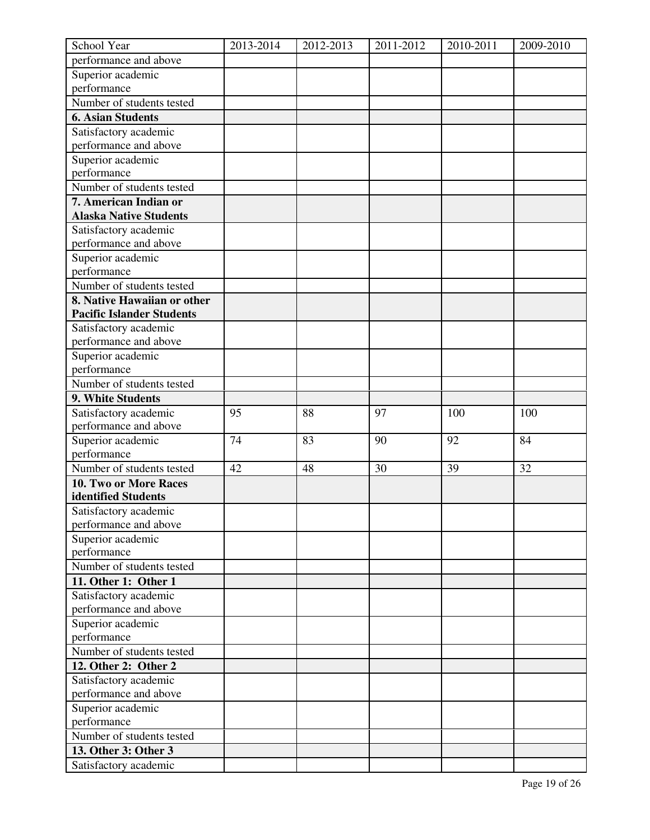| School Year                      | 2013-2014 | 2012-2013 | 2011-2012 | 2010-2011 | 2009-2010 |
|----------------------------------|-----------|-----------|-----------|-----------|-----------|
| performance and above            |           |           |           |           |           |
| Superior academic                |           |           |           |           |           |
| performance                      |           |           |           |           |           |
| Number of students tested        |           |           |           |           |           |
| <b>6. Asian Students</b>         |           |           |           |           |           |
| Satisfactory academic            |           |           |           |           |           |
| performance and above            |           |           |           |           |           |
| Superior academic                |           |           |           |           |           |
| performance                      |           |           |           |           |           |
| Number of students tested        |           |           |           |           |           |
| 7. American Indian or            |           |           |           |           |           |
| <b>Alaska Native Students</b>    |           |           |           |           |           |
| Satisfactory academic            |           |           |           |           |           |
| performance and above            |           |           |           |           |           |
| Superior academic                |           |           |           |           |           |
| performance                      |           |           |           |           |           |
| Number of students tested        |           |           |           |           |           |
| 8. Native Hawaiian or other      |           |           |           |           |           |
| <b>Pacific Islander Students</b> |           |           |           |           |           |
| Satisfactory academic            |           |           |           |           |           |
| performance and above            |           |           |           |           |           |
| Superior academic                |           |           |           |           |           |
| performance                      |           |           |           |           |           |
| Number of students tested        |           |           |           |           |           |
| 9. White Students                |           |           |           |           |           |
| Satisfactory academic            | 95        | 88        | 97        | 100       | 100       |
| performance and above            |           |           |           |           |           |
| Superior academic                | 74        | 83        | 90        | 92        | 84        |
| performance                      |           |           |           |           |           |
| Number of students tested        | 42        | 48        | 30        | 39        | 32        |
| 10. Two or More Races            |           |           |           |           |           |
| identified Students              |           |           |           |           |           |
| Satisfactory academic            |           |           |           |           |           |
| performance and above            |           |           |           |           |           |
| Superior academic                |           |           |           |           |           |
| performance                      |           |           |           |           |           |
| Number of students tested        |           |           |           |           |           |
| 11. Other 1: Other 1             |           |           |           |           |           |
| Satisfactory academic            |           |           |           |           |           |
| performance and above            |           |           |           |           |           |
| Superior academic                |           |           |           |           |           |
| performance                      |           |           |           |           |           |
| Number of students tested        |           |           |           |           |           |
| 12. Other 2: Other 2             |           |           |           |           |           |
| Satisfactory academic            |           |           |           |           |           |
| performance and above            |           |           |           |           |           |
| Superior academic                |           |           |           |           |           |
| performance                      |           |           |           |           |           |
| Number of students tested        |           |           |           |           |           |
| 13. Other 3: Other 3             |           |           |           |           |           |
| Satisfactory academic            |           |           |           |           |           |
|                                  |           |           |           |           |           |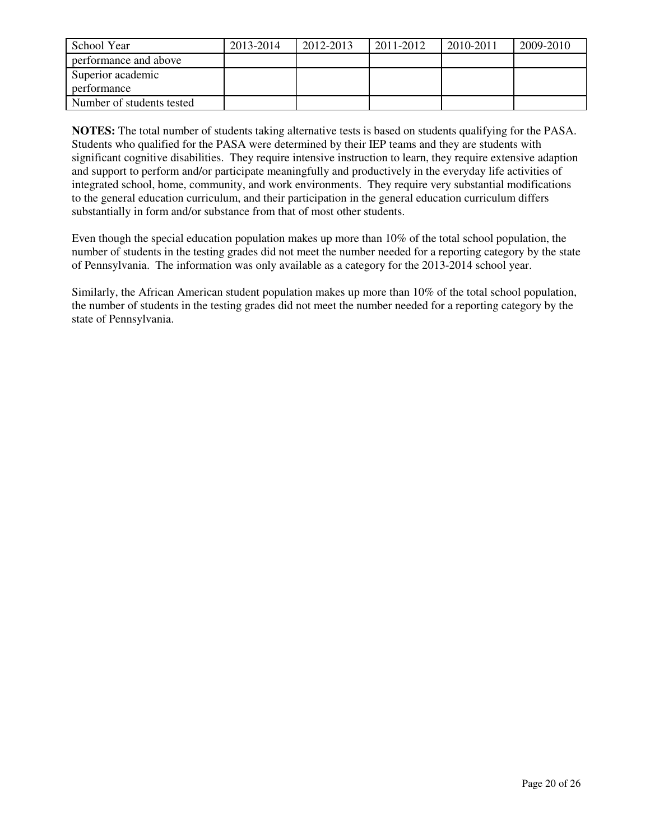| School Year               | 2013-2014 | 2012-2013 | 2011-2012 | 2010-2011 | 2009-2010 |
|---------------------------|-----------|-----------|-----------|-----------|-----------|
| performance and above     |           |           |           |           |           |
| Superior academic         |           |           |           |           |           |
| performance               |           |           |           |           |           |
| Number of students tested |           |           |           |           |           |

**NOTES:** The total number of students taking alternative tests is based on students qualifying for the PASA. Students who qualified for the PASA were determined by their IEP teams and they are students with significant cognitive disabilities. They require intensive instruction to learn, they require extensive adaption and support to perform and/or participate meaningfully and productively in the everyday life activities of integrated school, home, community, and work environments. They require very substantial modifications to the general education curriculum, and their participation in the general education curriculum differs substantially in form and/or substance from that of most other students.

Even though the special education population makes up more than 10% of the total school population, the number of students in the testing grades did not meet the number needed for a reporting category by the state of Pennsylvania. The information was only available as a category for the 2013-2014 school year.

Similarly, the African American student population makes up more than 10% of the total school population, the number of students in the testing grades did not meet the number needed for a reporting category by the state of Pennsylvania.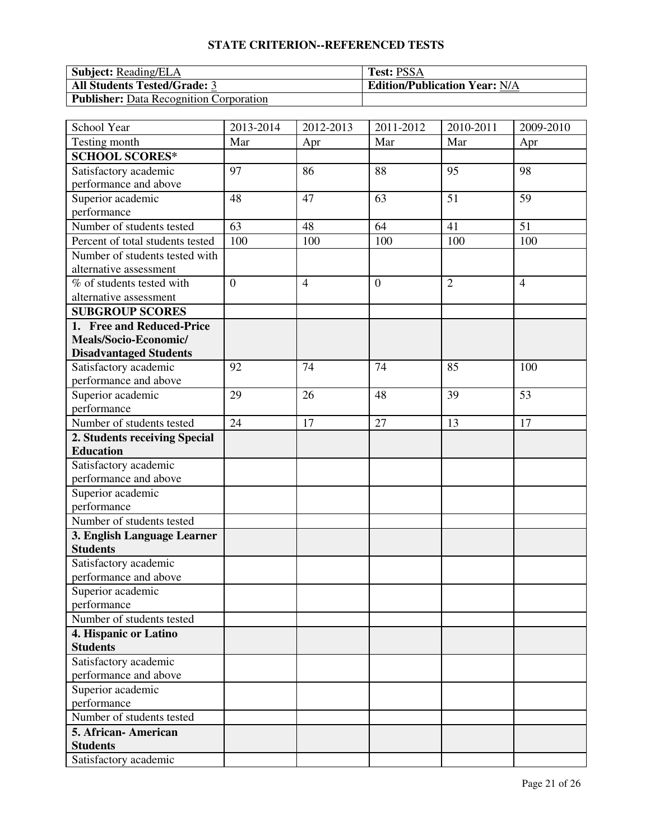# **STATE CRITERION--REFERENCED TESTS**

| <b>Subject: Reading/ELA</b>                    | <b>Test: PSSA</b>                    |
|------------------------------------------------|--------------------------------------|
| <b>All Students Tested/Grade: 3</b>            | <b>Edition/Publication Year: N/A</b> |
| <b>Publisher:</b> Data Recognition Corporation |                                      |

| School Year                      | 2013-2014      | 2012-2013      | 2011-2012      | 2010-2011      | 2009-2010      |
|----------------------------------|----------------|----------------|----------------|----------------|----------------|
| Testing month                    | Mar            | Apr            | Mar            | Mar            | Apr            |
| <b>SCHOOL SCORES*</b>            |                |                |                |                |                |
| Satisfactory academic            | 97             | 86             | 88             | 95             | 98             |
| performance and above            |                |                |                |                |                |
| Superior academic                | 48             | 47             | 63             | 51             | 59             |
| performance                      |                |                |                |                |                |
| Number of students tested        | 63             | 48             | 64             | 41             | 51             |
| Percent of total students tested | 100            | 100            | 100            | 100            | 100            |
| Number of students tested with   |                |                |                |                |                |
| alternative assessment           |                |                |                |                |                |
| % of students tested with        | $\overline{0}$ | $\overline{4}$ | $\overline{0}$ | $\overline{2}$ | $\overline{4}$ |
| alternative assessment           |                |                |                |                |                |
| <b>SUBGROUP SCORES</b>           |                |                |                |                |                |
| 1. Free and Reduced-Price        |                |                |                |                |                |
| Meals/Socio-Economic/            |                |                |                |                |                |
| <b>Disadvantaged Students</b>    |                |                |                |                |                |
| Satisfactory academic            | 92             | 74             | 74             | 85             | 100            |
| performance and above            |                |                |                |                |                |
| Superior academic                | 29             | 26             | 48             | 39             | 53             |
| performance                      |                |                |                |                |                |
| Number of students tested        | 24             | 17             | 27             | 13             | 17             |
| 2. Students receiving Special    |                |                |                |                |                |
| <b>Education</b>                 |                |                |                |                |                |
| Satisfactory academic            |                |                |                |                |                |
| performance and above            |                |                |                |                |                |
| Superior academic                |                |                |                |                |                |
| performance                      |                |                |                |                |                |
| Number of students tested        |                |                |                |                |                |
| 3. English Language Learner      |                |                |                |                |                |
| <b>Students</b>                  |                |                |                |                |                |
| Satisfactory academic            |                |                |                |                |                |
| performance and above            |                |                |                |                |                |
| Superior academic                |                |                |                |                |                |
| performance                      |                |                |                |                |                |
| Number of students tested        |                |                |                |                |                |
| 4. Hispanic or Latino            |                |                |                |                |                |
| <b>Students</b>                  |                |                |                |                |                |
| Satisfactory academic            |                |                |                |                |                |
| performance and above            |                |                |                |                |                |
| Superior academic                |                |                |                |                |                |
| performance                      |                |                |                |                |                |
| Number of students tested        |                |                |                |                |                |
| 5. African-American              |                |                |                |                |                |
| <b>Students</b>                  |                |                |                |                |                |
| Satisfactory academic            |                |                |                |                |                |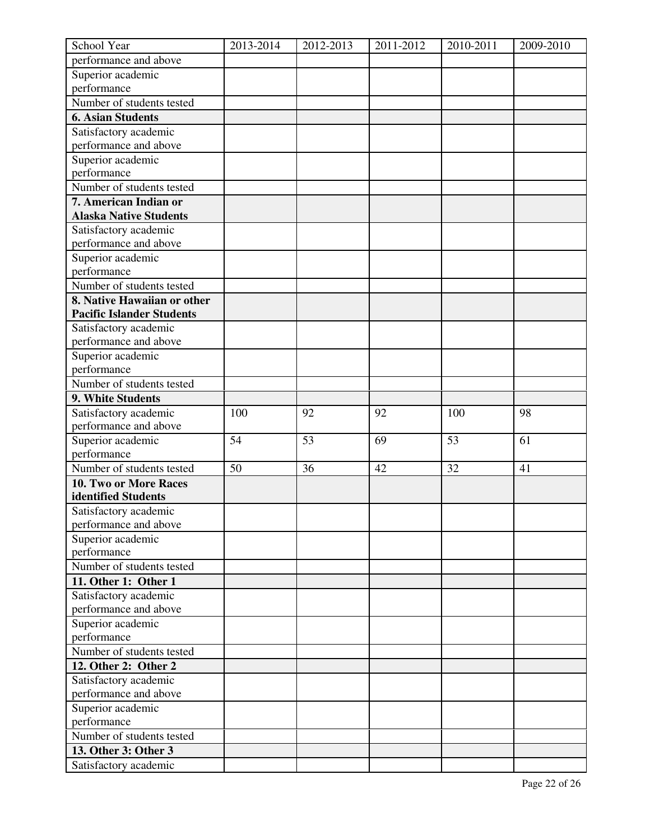| School Year                      | 2013-2014 | 2012-2013 | 2011-2012 | 2010-2011 | 2009-2010 |
|----------------------------------|-----------|-----------|-----------|-----------|-----------|
| performance and above            |           |           |           |           |           |
| Superior academic                |           |           |           |           |           |
| performance                      |           |           |           |           |           |
| Number of students tested        |           |           |           |           |           |
| <b>6. Asian Students</b>         |           |           |           |           |           |
| Satisfactory academic            |           |           |           |           |           |
| performance and above            |           |           |           |           |           |
| Superior academic                |           |           |           |           |           |
| performance                      |           |           |           |           |           |
| Number of students tested        |           |           |           |           |           |
| 7. American Indian or            |           |           |           |           |           |
| <b>Alaska Native Students</b>    |           |           |           |           |           |
| Satisfactory academic            |           |           |           |           |           |
| performance and above            |           |           |           |           |           |
| Superior academic                |           |           |           |           |           |
| performance                      |           |           |           |           |           |
| Number of students tested        |           |           |           |           |           |
| 8. Native Hawaiian or other      |           |           |           |           |           |
| <b>Pacific Islander Students</b> |           |           |           |           |           |
| Satisfactory academic            |           |           |           |           |           |
| performance and above            |           |           |           |           |           |
| Superior academic                |           |           |           |           |           |
| performance                      |           |           |           |           |           |
| Number of students tested        |           |           |           |           |           |
| 9. White Students                |           |           |           |           |           |
| Satisfactory academic            | 100       | 92        | 92        | 100       | 98        |
| performance and above            |           |           |           |           |           |
| Superior academic                | 54        | 53        | 69        | 53        | 61        |
| performance                      |           |           |           |           |           |
| Number of students tested        | 50        | 36        | 42        | 32        | 41        |
| 10. Two or More Races            |           |           |           |           |           |
| identified Students              |           |           |           |           |           |
| Satisfactory academic            |           |           |           |           |           |
| performance and above            |           |           |           |           |           |
| Superior academic                |           |           |           |           |           |
| performance                      |           |           |           |           |           |
| Number of students tested        |           |           |           |           |           |
| 11. Other 1: Other 1             |           |           |           |           |           |
| Satisfactory academic            |           |           |           |           |           |
| performance and above            |           |           |           |           |           |
| Superior academic                |           |           |           |           |           |
| performance                      |           |           |           |           |           |
| Number of students tested        |           |           |           |           |           |
| 12. Other 2: Other 2             |           |           |           |           |           |
| Satisfactory academic            |           |           |           |           |           |
| performance and above            |           |           |           |           |           |
| Superior academic                |           |           |           |           |           |
| performance                      |           |           |           |           |           |
| Number of students tested        |           |           |           |           |           |
| 13. Other 3: Other 3             |           |           |           |           |           |
| Satisfactory academic            |           |           |           |           |           |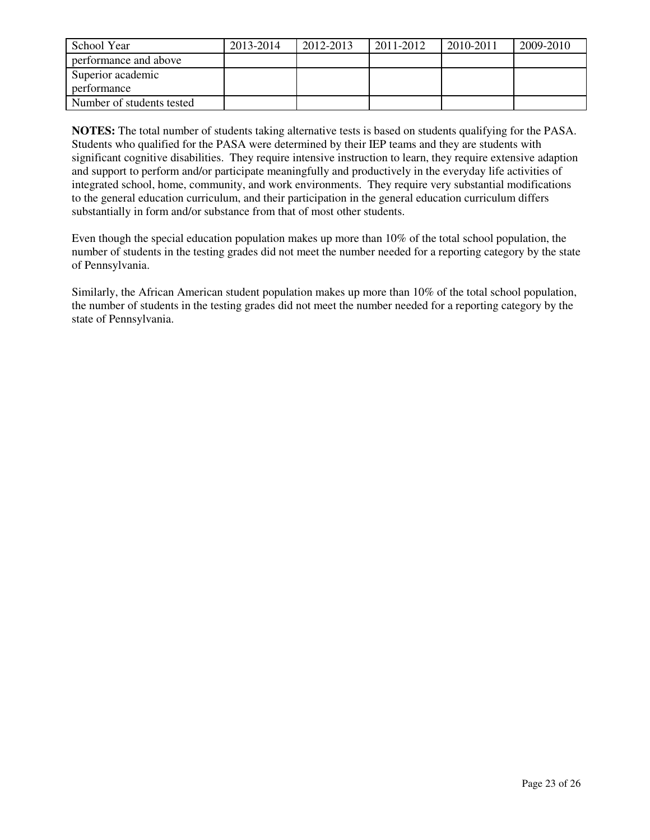| School Year               | 2013-2014 | 2012-2013 | 2011-2012 | 2010-2011 | 2009-2010 |
|---------------------------|-----------|-----------|-----------|-----------|-----------|
| performance and above     |           |           |           |           |           |
| Superior academic         |           |           |           |           |           |
| performance               |           |           |           |           |           |
| Number of students tested |           |           |           |           |           |

**NOTES:** The total number of students taking alternative tests is based on students qualifying for the PASA. Students who qualified for the PASA were determined by their IEP teams and they are students with significant cognitive disabilities. They require intensive instruction to learn, they require extensive adaption and support to perform and/or participate meaningfully and productively in the everyday life activities of integrated school, home, community, and work environments. They require very substantial modifications to the general education curriculum, and their participation in the general education curriculum differs substantially in form and/or substance from that of most other students.

Even though the special education population makes up more than 10% of the total school population, the number of students in the testing grades did not meet the number needed for a reporting category by the state of Pennsylvania.

Similarly, the African American student population makes up more than 10% of the total school population, the number of students in the testing grades did not meet the number needed for a reporting category by the state of Pennsylvania.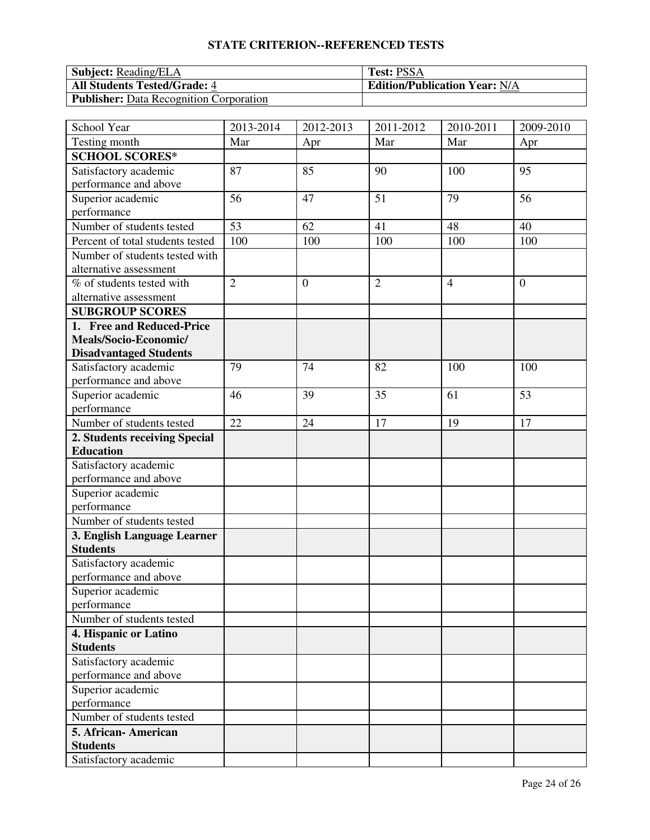# **STATE CRITERION--REFERENCED TESTS**

| <b>Subject:</b> Reading/ELA                    | <b>Test: PSSA</b>                    |
|------------------------------------------------|--------------------------------------|
| <b>All Students Tested/Grade: 4</b>            | <b>Edition/Publication Year: N/A</b> |
| <b>Publisher:</b> Data Recognition Corporation |                                      |

| School Year                      | 2013-2014      | 2012-2013 | 2011-2012      | 2010-2011      | $\overline{2009}$ -2010 |
|----------------------------------|----------------|-----------|----------------|----------------|-------------------------|
| Testing month                    | Mar            | Apr       | Mar            | Mar            | Apr                     |
| <b>SCHOOL SCORES*</b>            |                |           |                |                |                         |
| Satisfactory academic            | 87             | 85        | 90             | 100            | 95                      |
| performance and above            |                |           |                |                |                         |
| Superior academic                | 56             | 47        | 51             | 79             | 56                      |
| performance                      |                |           |                |                |                         |
| Number of students tested        | 53             | 62        | 41             | 48             | 40                      |
| Percent of total students tested | 100            | 100       | 100            | 100            | 100                     |
| Number of students tested with   |                |           |                |                |                         |
| alternative assessment           |                |           |                |                |                         |
| % of students tested with        | $\overline{2}$ | $\theta$  | $\overline{2}$ | $\overline{4}$ | $\overline{0}$          |
| alternative assessment           |                |           |                |                |                         |
| <b>SUBGROUP SCORES</b>           |                |           |                |                |                         |
| 1. Free and Reduced-Price        |                |           |                |                |                         |
| Meals/Socio-Economic/            |                |           |                |                |                         |
| <b>Disadvantaged Students</b>    |                |           |                |                |                         |
| Satisfactory academic            | 79             | 74        | 82             | 100            | 100                     |
| performance and above            |                |           |                |                |                         |
| Superior academic                | 46             | 39        | 35             | 61             | 53                      |
| performance                      |                |           |                |                |                         |
| Number of students tested        | 22             | 24        | 17             | 19             | 17                      |
| 2. Students receiving Special    |                |           |                |                |                         |
| <b>Education</b>                 |                |           |                |                |                         |
| Satisfactory academic            |                |           |                |                |                         |
| performance and above            |                |           |                |                |                         |
| Superior academic                |                |           |                |                |                         |
| performance                      |                |           |                |                |                         |
| Number of students tested        |                |           |                |                |                         |
| 3. English Language Learner      |                |           |                |                |                         |
| <b>Students</b>                  |                |           |                |                |                         |
| Satisfactory academic            |                |           |                |                |                         |
| performance and above            |                |           |                |                |                         |
| Superior academic                |                |           |                |                |                         |
| performance                      |                |           |                |                |                         |
| Number of students tested        |                |           |                |                |                         |
| 4. Hispanic or Latino            |                |           |                |                |                         |
| <b>Students</b>                  |                |           |                |                |                         |
| Satisfactory academic            |                |           |                |                |                         |
| performance and above            |                |           |                |                |                         |
| Superior academic                |                |           |                |                |                         |
| performance                      |                |           |                |                |                         |
| Number of students tested        |                |           |                |                |                         |
| 5. African-American              |                |           |                |                |                         |
| <b>Students</b>                  |                |           |                |                |                         |
| Satisfactory academic            |                |           |                |                |                         |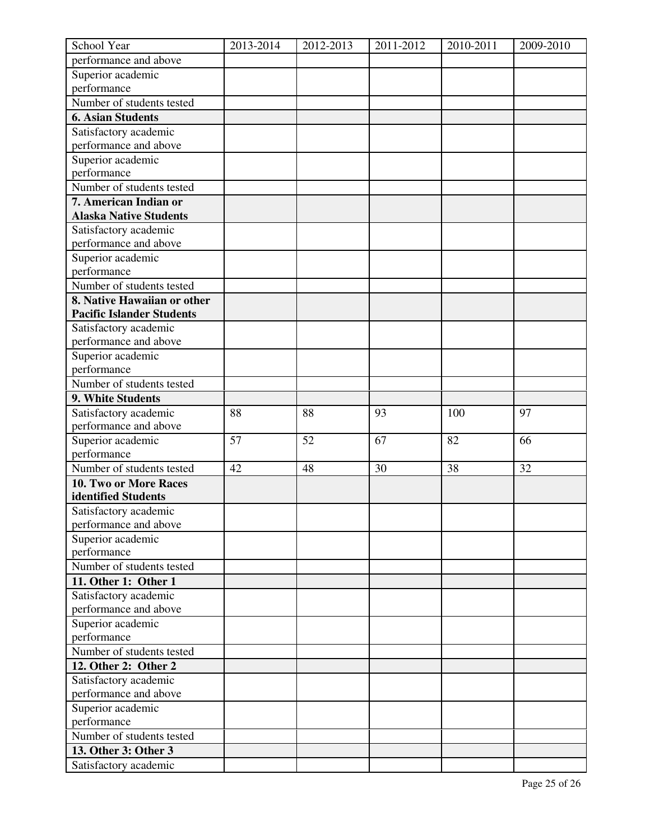| School Year                      | 2013-2014 | 2012-2013 | 2011-2012 | 2010-2011 | 2009-2010 |
|----------------------------------|-----------|-----------|-----------|-----------|-----------|
| performance and above            |           |           |           |           |           |
| Superior academic                |           |           |           |           |           |
| performance                      |           |           |           |           |           |
| Number of students tested        |           |           |           |           |           |
| <b>6. Asian Students</b>         |           |           |           |           |           |
| Satisfactory academic            |           |           |           |           |           |
| performance and above            |           |           |           |           |           |
| Superior academic                |           |           |           |           |           |
| performance                      |           |           |           |           |           |
| Number of students tested        |           |           |           |           |           |
| 7. American Indian or            |           |           |           |           |           |
| <b>Alaska Native Students</b>    |           |           |           |           |           |
| Satisfactory academic            |           |           |           |           |           |
| performance and above            |           |           |           |           |           |
| Superior academic                |           |           |           |           |           |
| performance                      |           |           |           |           |           |
| Number of students tested        |           |           |           |           |           |
| 8. Native Hawaiian or other      |           |           |           |           |           |
| <b>Pacific Islander Students</b> |           |           |           |           |           |
| Satisfactory academic            |           |           |           |           |           |
| performance and above            |           |           |           |           |           |
| Superior academic                |           |           |           |           |           |
| performance                      |           |           |           |           |           |
| Number of students tested        |           |           |           |           |           |
| 9. White Students                |           |           |           |           |           |
| Satisfactory academic            | 88        | 88        | 93        | 100       | 97        |
| performance and above            |           |           |           |           |           |
| Superior academic                | 57        | 52        | 67        | 82        | 66        |
| performance                      |           |           |           |           |           |
| Number of students tested        | 42        | 48        | 30        | 38        | 32        |
| 10. Two or More Races            |           |           |           |           |           |
| identified Students              |           |           |           |           |           |
| Satisfactory academic            |           |           |           |           |           |
| performance and above            |           |           |           |           |           |
| Superior academic                |           |           |           |           |           |
| performance                      |           |           |           |           |           |
| Number of students tested        |           |           |           |           |           |
|                                  |           |           |           |           |           |
| 11. Other 1: Other 1             |           |           |           |           |           |
| Satisfactory academic            |           |           |           |           |           |
| performance and above            |           |           |           |           |           |
| Superior academic                |           |           |           |           |           |
| performance                      |           |           |           |           |           |
| Number of students tested        |           |           |           |           |           |
| 12. Other 2: Other 2             |           |           |           |           |           |
| Satisfactory academic            |           |           |           |           |           |
| performance and above            |           |           |           |           |           |
| Superior academic                |           |           |           |           |           |
| performance                      |           |           |           |           |           |
| Number of students tested        |           |           |           |           |           |
| 13. Other 3: Other 3             |           |           |           |           |           |
| Satisfactory academic            |           |           |           |           |           |